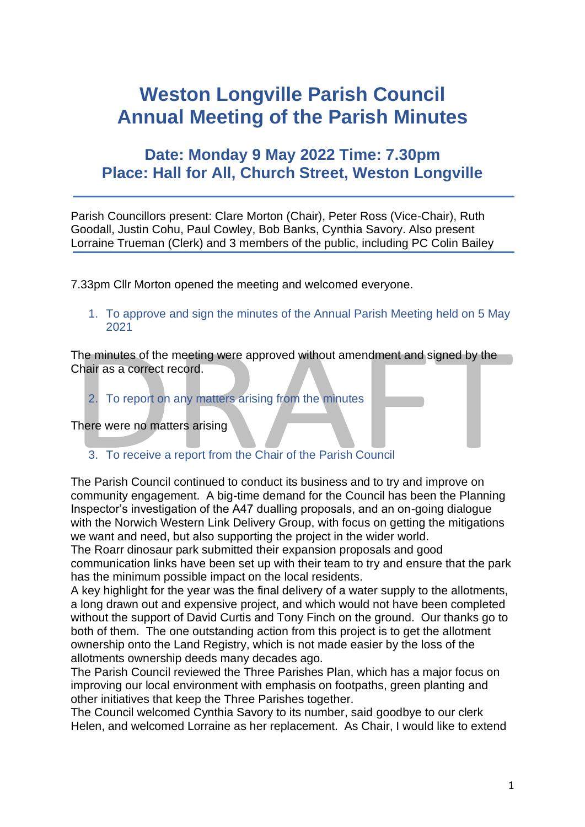## **Weston Longville Parish Council Annual Meeting of the Parish Minutes**

## **Date: Monday 9 May 2022 Time: 7.30pm Place: Hall for All, Church Street, Weston Longville**

Parish Councillors present: Clare Morton (Chair), Peter Ross (Vice-Chair), Ruth Goodall, Justin Cohu, Paul Cowley, Bob Banks, Cynthia Savory. Also present Lorraine Trueman (Clerk) and 3 members of the public, including PC Colin Bailey

7.33pm Cllr Morton opened the meeting and welcomed everyone.

1. To approve and sign the minutes of the Annual Parish Meeting held on 5 May 2021

The minutes of the meeting were approved without amendment and signed by the Chair as a correct record.

2. To report on any matters arising from the minutes

There were no matters arising

3. To receive a report from the Chair of the Parish Council

The Parish Council continued to conduct its business and to try and improve on community engagement. A big-time demand for the Council has been the Planning Inspector's investigation of the A47 dualling proposals, and an on-going dialogue with the Norwich Western Link Delivery Group, with focus on getting the mitigations we want and need, but also supporting the project in the wider world.

The Roarr dinosaur park submitted their expansion proposals and good communication links have been set up with their team to try and ensure that the park has the minimum possible impact on the local residents.

A key highlight for the year was the final delivery of a water supply to the allotments, a long drawn out and expensive project, and which would not have been completed without the support of David Curtis and Tony Finch on the ground. Our thanks go to both of them. The one outstanding action from this project is to get the allotment ownership onto the Land Registry, which is not made easier by the loss of the allotments ownership deeds many decades ago.

The Parish Council reviewed the Three Parishes Plan, which has a major focus on improving our local environment with emphasis on footpaths, green planting and other initiatives that keep the Three Parishes together.

The Council welcomed Cynthia Savory to its number, said goodbye to our clerk Helen, and welcomed Lorraine as her replacement. As Chair, I would like to extend